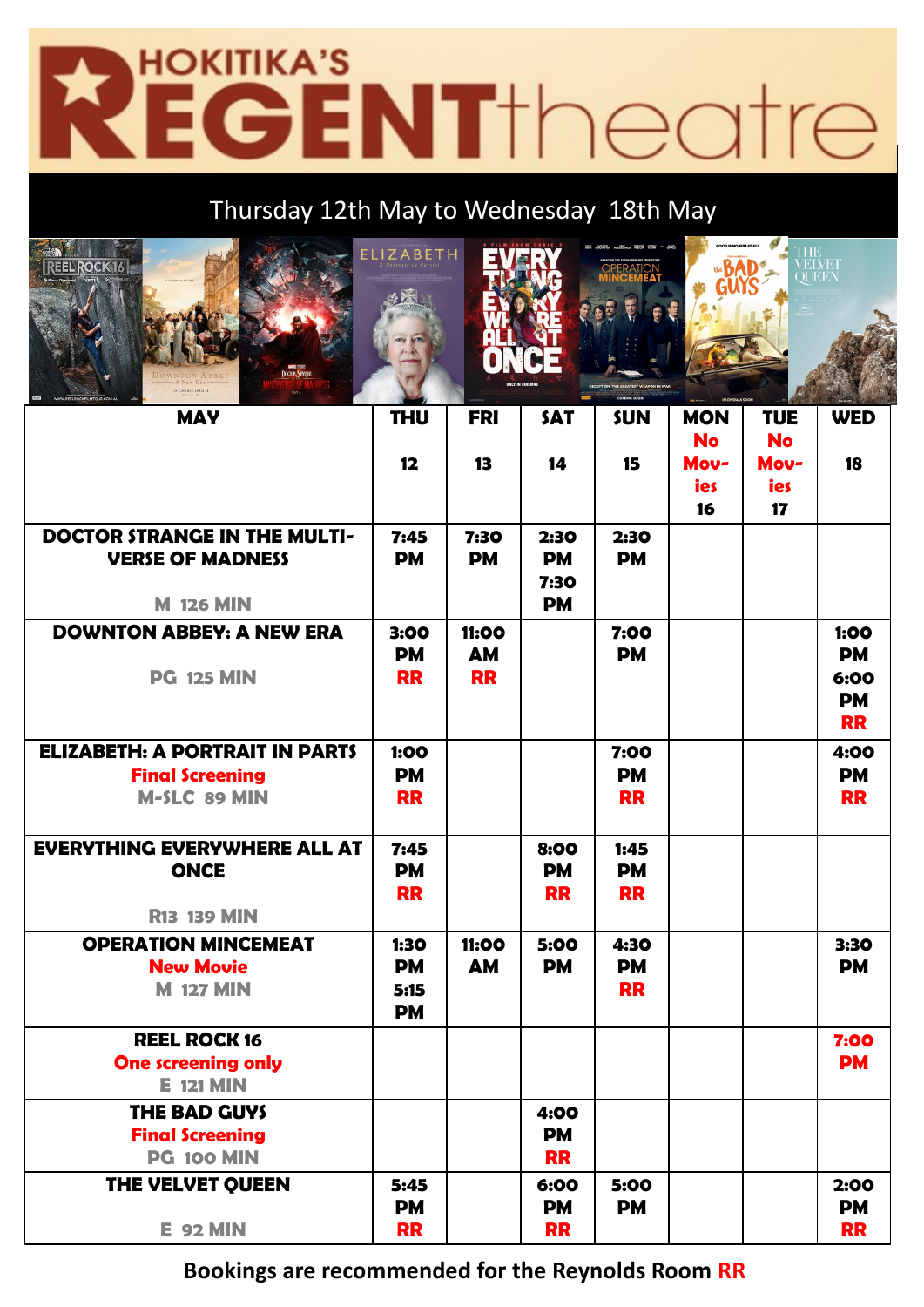# HOKITIKA'S<br>EGENT<sup>†</sup>neatre **PZ**

## Thursday 12th May to Wednesday 18th May



| <b>MAY</b>                                                                             | <b>THU</b>                             | <b>FRI</b>                      | <b>SAT</b>                             | <b>SUN</b>                     | <b>MON</b><br><b>No</b> | <b>TUE</b><br><b>No</b> | <b>WED</b>                                          |
|----------------------------------------------------------------------------------------|----------------------------------------|---------------------------------|----------------------------------------|--------------------------------|-------------------------|-------------------------|-----------------------------------------------------|
|                                                                                        | 12                                     | 13                              | 14                                     | 15                             | Mov-<br>ies<br>16       | Mov-<br>ies<br>17       | 18                                                  |
| <b>DOCTOR STRANGE IN THE MULTI-</b><br><b>VERSE OF MADNESS</b><br><b>M 126 MIN</b>     | 7:45<br><b>PM</b>                      | 7:30<br><b>PM</b>               | 2:30<br><b>PM</b><br>7:30<br><b>PM</b> | 2:30<br><b>PM</b>              |                         |                         |                                                     |
| <b>DOWNTON ABBEY: A NEW ERA</b><br><b>PG 125 MIN</b>                                   | 3:00<br><b>PM</b><br><b>RR</b>         | 11:00<br><b>AM</b><br><b>RR</b> |                                        | 7:00<br><b>PM</b>              |                         |                         | 1:00<br><b>PM</b><br>6:00<br><b>PM</b><br><b>RR</b> |
| <b>ELIZABETH: A PORTRAIT IN PARTS</b><br><b>Final Screening</b><br><b>M-SLC 89 MIN</b> | 1:00<br><b>PM</b><br><b>RR</b>         |                                 |                                        | 7:00<br><b>PM</b><br><b>RR</b> |                         |                         | 4:00<br><b>PM</b><br><b>RR</b>                      |
| <b>EVERYTHING EVERYWHERE ALL AT</b><br><b>ONCE</b><br><b>R13 139 MIN</b>               | 7:45<br><b>PM</b><br><b>RR</b>         |                                 | 8:00<br><b>PM</b><br><b>RR</b>         | 1:45<br><b>PM</b><br><b>RR</b> |                         |                         |                                                     |
| <b>OPERATION MINCEMEAT</b><br><b>New Movie</b><br><b>M 127 MIN</b>                     | 1:30<br><b>PM</b><br>5:15<br><b>PM</b> | 11:00<br><b>AM</b>              | 5:00<br><b>PM</b>                      | 4:30<br><b>PM</b><br><b>RR</b> |                         |                         | 3:30<br><b>PM</b>                                   |
| <b>REEL ROCK 16</b><br><b>One screening only</b><br><b>E</b> 121 MIN                   |                                        |                                 |                                        |                                |                         |                         | 7:00<br><b>PM</b>                                   |
| <b>THE BAD GUYS</b><br><b>Final Screening</b><br><b>PG 100 MIN</b>                     |                                        |                                 | 4:00<br><b>PM</b><br><b>RR</b>         |                                |                         |                         |                                                     |
| THE VELVET QUEEN<br><b>E</b> 92 MIN                                                    | 5:45<br><b>PM</b><br><b>RR</b>         |                                 | 6:00<br><b>PM</b><br><b>RR</b>         | 5:00<br><b>PM</b>              |                         |                         | 2:00<br><b>PM</b><br><b>RR</b>                      |

**Bookings are recommended for the Reynolds Room RR**